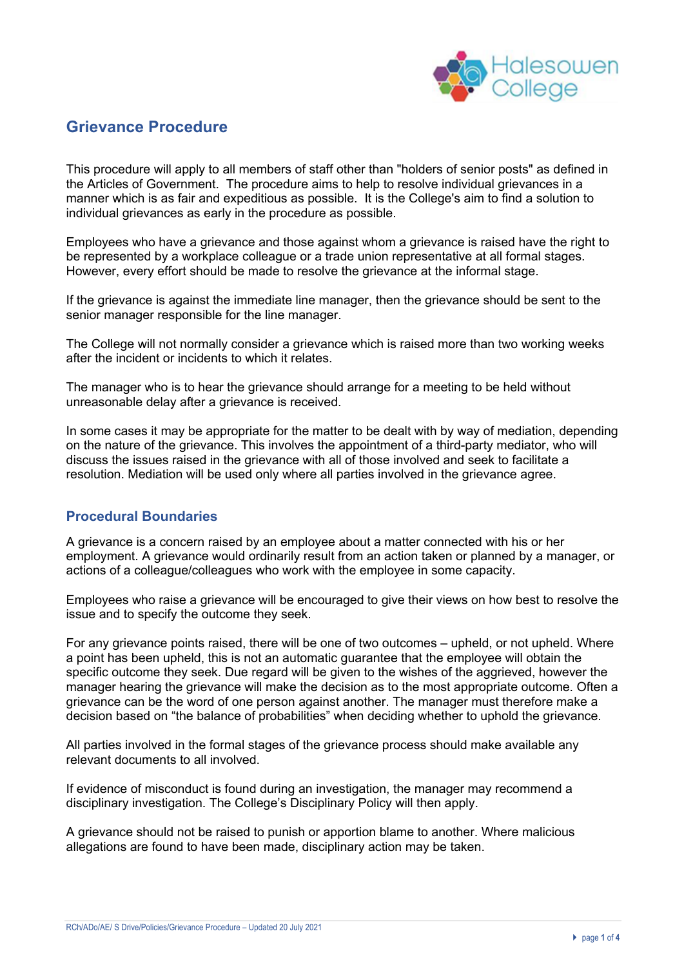

# **Grievance Procedure**

This procedure will apply to all members of staff other than "holders of senior posts" as defined in the Articles of Government. The procedure aims to help to resolve individual grievances in a manner which is as fair and expeditious as possible. It is the College's aim to find a solution to individual grievances as early in the procedure as possible.

Employees who have a grievance and those against whom a grievance is raised have the right to be represented by a workplace colleague or a trade union representative at all formal stages. However, every effort should be made to resolve the grievance at the informal stage.

If the grievance is against the immediate line manager, then the grievance should be sent to the senior manager responsible for the line manager.

The College will not normally consider a grievance which is raised more than two working weeks after the incident or incidents to which it relates.

The manager who is to hear the grievance should arrange for a meeting to be held without unreasonable delay after a grievance is received.

In some cases it may be appropriate for the matter to be dealt with by way of mediation, depending on the nature of the grievance. This involves the appointment of a third-party mediator, who will discuss the issues raised in the grievance with all of those involved and seek to facilitate a resolution. Mediation will be used only where all parties involved in the grievance agree.

# **Procedural Boundaries**

A grievance is a concern raised by an employee about a matter connected with his or her employment. A grievance would ordinarily result from an action taken or planned by a manager, or actions of a colleague/colleagues who work with the employee in some capacity.

Employees who raise a grievance will be encouraged to give their views on how best to resolve the issue and to specify the outcome they seek.

For any grievance points raised, there will be one of two outcomes – upheld, or not upheld. Where a point has been upheld, this is not an automatic guarantee that the employee will obtain the specific outcome they seek. Due regard will be given to the wishes of the aggrieved, however the manager hearing the grievance will make the decision as to the most appropriate outcome. Often a grievance can be the word of one person against another. The manager must therefore make a decision based on "the balance of probabilities" when deciding whether to uphold the grievance.

All parties involved in the formal stages of the grievance process should make available any relevant documents to all involved.

If evidence of misconduct is found during an investigation, the manager may recommend a disciplinary investigation. The College's Disciplinary Policy will then apply.

A grievance should not be raised to punish or apportion blame to another. Where malicious allegations are found to have been made, disciplinary action may be taken.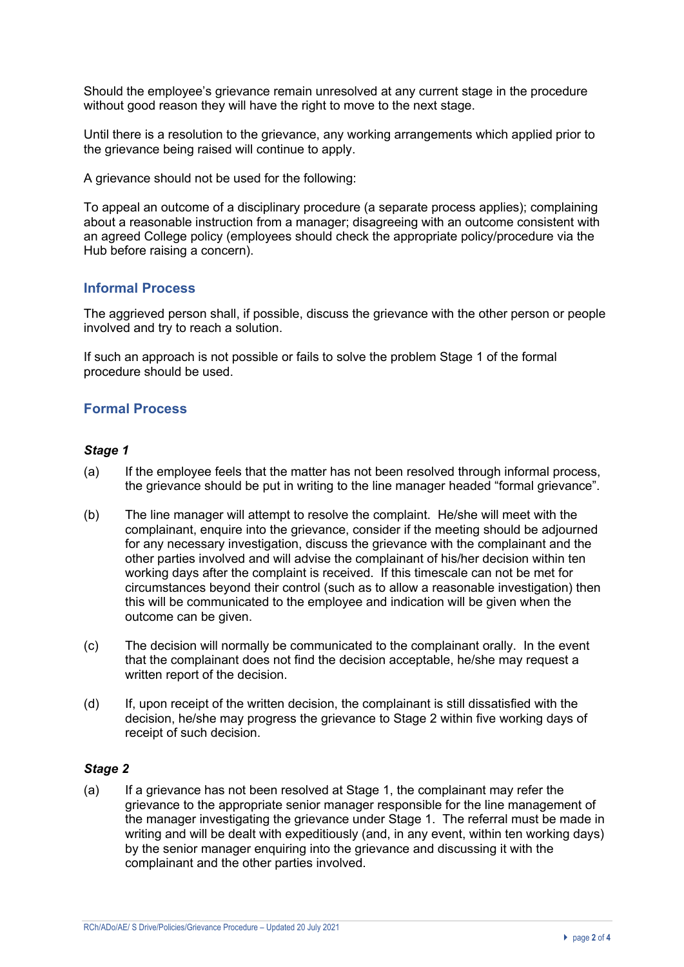Should the employee's grievance remain unresolved at any current stage in the procedure without good reason they will have the right to move to the next stage.

Until there is a resolution to the grievance, any working arrangements which applied prior to the grievance being raised will continue to apply.

A grievance should not be used for the following:

To appeal an outcome of a disciplinary procedure (a separate process applies); complaining about a reasonable instruction from a manager; disagreeing with an outcome consistent with an agreed College policy (employees should check the appropriate policy/procedure via the Hub before raising a concern).

### **Informal Process**

The aggrieved person shall, if possible, discuss the grievance with the other person or people involved and try to reach a solution.

If such an approach is not possible or fails to solve the problem Stage 1 of the formal procedure should be used.

## **Formal Process**

#### *Stage 1*

- (a) If the employee feels that the matter has not been resolved through informal process, the grievance should be put in writing to the line manager headed "formal grievance".
- (b) The line manager will attempt to resolve the complaint. He/she will meet with the complainant, enquire into the grievance, consider if the meeting should be adjourned for any necessary investigation, discuss the grievance with the complainant and the other parties involved and will advise the complainant of his/her decision within ten working days after the complaint is received. If this timescale can not be met for circumstances beyond their control (such as to allow a reasonable investigation) then this will be communicated to the employee and indication will be given when the outcome can be given.
- (c) The decision will normally be communicated to the complainant orally. In the event that the complainant does not find the decision acceptable, he/she may request a written report of the decision.
- (d) If, upon receipt of the written decision, the complainant is still dissatisfied with the decision, he/she may progress the grievance to Stage 2 within five working days of receipt of such decision.

#### *Stage 2*

(a) If a grievance has not been resolved at Stage 1, the complainant may refer the grievance to the appropriate senior manager responsible for the line management of the manager investigating the grievance under Stage 1. The referral must be made in writing and will be dealt with expeditiously (and, in any event, within ten working days) by the senior manager enquiring into the grievance and discussing it with the complainant and the other parties involved.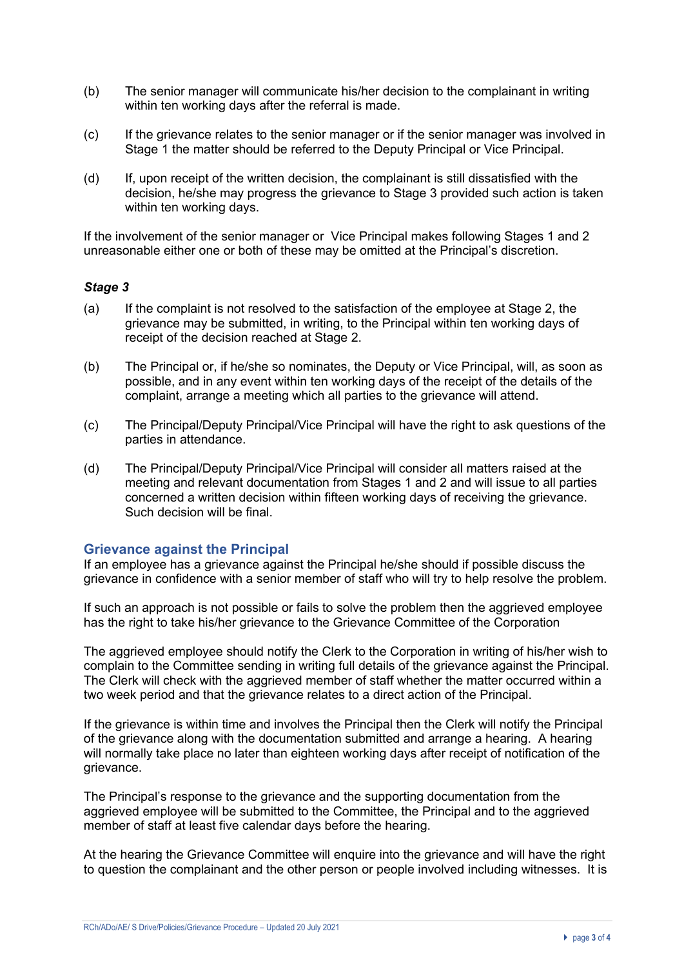- (b) The senior manager will communicate his/her decision to the complainant in writing within ten working days after the referral is made.
- (c) If the grievance relates to the senior manager or if the senior manager was involved in Stage 1 the matter should be referred to the Deputy Principal or Vice Principal.
- (d) If, upon receipt of the written decision, the complainant is still dissatisfied with the decision, he/she may progress the grievance to Stage 3 provided such action is taken within ten working days.

If the involvement of the senior manager or Vice Principal makes following Stages 1 and 2 unreasonable either one or both of these may be omitted at the Principal's discretion.

#### *Stage 3*

- (a) If the complaint is not resolved to the satisfaction of the employee at Stage 2, the grievance may be submitted, in writing, to the Principal within ten working days of receipt of the decision reached at Stage 2.
- (b) The Principal or, if he/she so nominates, the Deputy or Vice Principal, will, as soon as possible, and in any event within ten working days of the receipt of the details of the complaint, arrange a meeting which all parties to the grievance will attend.
- (c) The Principal/Deputy Principal/Vice Principal will have the right to ask questions of the parties in attendance.
- (d) The Principal/Deputy Principal/Vice Principal will consider all matters raised at the meeting and relevant documentation from Stages 1 and 2 and will issue to all parties concerned a written decision within fifteen working days of receiving the grievance. Such decision will be final.

### **Grievance against the Principal**

If an employee has a grievance against the Principal he/she should if possible discuss the grievance in confidence with a senior member of staff who will try to help resolve the problem.

If such an approach is not possible or fails to solve the problem then the aggrieved employee has the right to take his/her grievance to the Grievance Committee of the Corporation

The aggrieved employee should notify the Clerk to the Corporation in writing of his/her wish to complain to the Committee sending in writing full details of the grievance against the Principal. The Clerk will check with the aggrieved member of staff whether the matter occurred within a two week period and that the grievance relates to a direct action of the Principal.

If the grievance is within time and involves the Principal then the Clerk will notify the Principal of the grievance along with the documentation submitted and arrange a hearing. A hearing will normally take place no later than eighteen working days after receipt of notification of the grievance.

The Principal's response to the grievance and the supporting documentation from the aggrieved employee will be submitted to the Committee, the Principal and to the aggrieved member of staff at least five calendar days before the hearing.

At the hearing the Grievance Committee will enquire into the grievance and will have the right to question the complainant and the other person or people involved including witnesses. It is